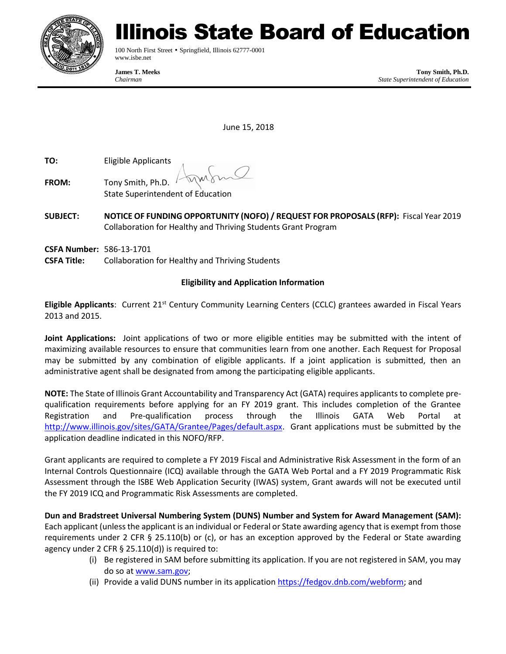

# linois State Board of Education

100 North First Street • Springfield, Illinois 62777-0001 www.isbe.net

**James T. Meeks Tony Smith, Ph.D.** *Chairman State Superintendent of Education*

June 15, 2018

**TO:** Eligible Applicants

- **FROM:** Tony Smith, Ph.D. State Superintendent of Education
- **SUBJECT: NOTICE OF FUNDING OPPORTUNITY (NOFO) / REQUEST FOR PROPOSALS (RFP):** Fiscal Year 2019 Collaboration for Healthy and Thriving Students Grant Program
- **CSFA Number:** 586-13-1701
- **CSFA Title:** Collaboration for Healthy and Thriving Students

# **Eligibility and Application Information**

**Eligible Applicants**: Current 21<sup>st</sup> Century Community Learning Centers (CCLC) grantees awarded in Fiscal Years 2013 and 2015.

**Joint Applications:** Joint applications of two or more eligible entities may be submitted with the intent of maximizing available resources to ensure that communities learn from one another. Each Request for Proposal may be submitted by any combination of eligible applicants. If a joint application is submitted, then an administrative agent shall be designated from among the participating eligible applicants.

**NOTE:** The State of Illinois Grant Accountability and Transparency Act (GATA) requires applicants to complete prequalification requirements before applying for an FY 2019 grant. This includes completion of the Grantee Registration and Pre-qualification process through the Illinois GATA Web Portal at [http://www.illinois.gov/sites/GATA/Grantee/Pages/default.aspx.](http://www.illinois.gov/sites/GATA/Grantee/Pages/default.aspx) Grant applications must be submitted by the application deadline indicated in this NOFO/RFP.

Grant applicants are required to complete a FY 2019 Fiscal and Administrative Risk Assessment in the form of an Internal Controls Questionnaire (ICQ) available through the GATA Web Portal and a FY 2019 Programmatic Risk Assessment through the ISBE Web Application Security (IWAS) system, Grant awards will not be executed until the FY 2019 ICQ and Programmatic Risk Assessments are completed.

**Dun and Bradstreet Universal Numbering System (DUNS) Number and System for Award Management (SAM):** Each applicant (unless the applicant is an individual or Federal or State awarding agency that is exempt from those requirements under 2 CFR § 25.110(b) or (c), or has an exception approved by the Federal or State awarding agency under 2 CFR § 25.110(d)) is required to:

- (i) Be registered in SAM before submitting its application. If you are not registered in SAM, you may do so at [www.sam.gov;](http://www.sam.gov/)
- (ii) Provide a valid DUNS number in its application [https://fedgov.dnb.com/webform;](https://fedgov.dnb.com/webform) and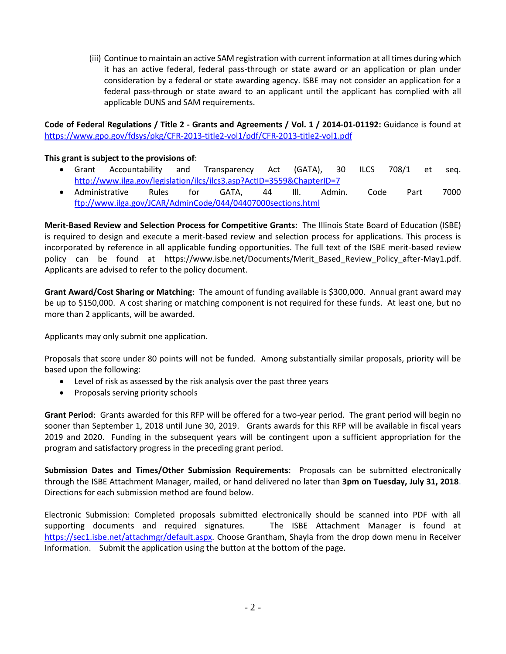(iii) Continue to maintain an active SAM registration with current information at all times during which it has an active federal, federal pass-through or state award or an application or plan under consideration by a federal or state awarding agency. ISBE may not consider an application for a federal pass-through or state award to an applicant until the applicant has complied with all applicable DUNS and SAM requirements.

**Code of Federal Regulations / Title 2 - Grants and Agreements / Vol. 1 / 2014-01-01192:** Guidance is found at <https://www.gpo.gov/fdsys/pkg/CFR-2013-title2-vol1/pdf/CFR-2013-title2-vol1.pdf>

#### **This grant is subject to the provisions of**:

- Grant Accountability and Transparency Act (GATA), 30 ILCS 708/1 et seq. <http://www.ilga.gov/legislation/ilcs/ilcs3.asp?ActID=3559&ChapterID=7>
- Administrative Rules for GATA, 44 Ill. Admin. Code Part 7000 <ftp://www.ilga.gov/JCAR/AdminCode/044/04407000sections.html>

**Merit-Based Review and Selection Process for Competitive Grants:** The Illinois State Board of Education (ISBE) is required to design and execute a merit-based review and selection process for applications. This process is incorporated by reference in all applicable funding opportunities. The full text of the ISBE merit-based review policy can be found at https://www.isbe.net/Documents/Merit\_Based\_Review\_Policy\_after-May1.pdf. Applicants are advised to refer to the policy document.

**Grant Award/Cost Sharing or Matching**: The amount of funding available is \$300,000. Annual grant award may be up to \$150,000. A cost sharing or matching component is not required for these funds. At least one, but no more than 2 applicants, will be awarded.

Applicants may only submit one application.

Proposals that score under 80 points will not be funded.Among substantially similar proposals, priority will be based upon the following:

- Level of risk as assessed by the risk analysis over the past three years
- Proposals serving priority schools

**Grant Period**: Grants awarded for this RFP will be offered for a two-year period. The grant period will begin no sooner than September 1, 2018 until June 30, 2019. Grants awards for this RFP will be available in fiscal years 2019 and 2020. Funding in the subsequent years will be contingent upon a sufficient appropriation for the program and satisfactory progress in the preceding grant period.

**Submission Dates and Times/Other Submission Requirements**: Proposals can be submitted electronically through the ISBE Attachment Manager, mailed, or hand delivered no later than **3pm on Tuesday, July 31, 2018**. Directions for each submission method are found below.

Electronic Submission: Completed proposals submitted electronically should be scanned into PDF with all supporting documents and required signatures. The ISBE Attachment Manager is found at [https://sec1.isbe.net/attachmgr/default.aspx.](https://sec1.isbe.net/attachmgr/default.aspx) Choose Grantham, Shayla from the drop down menu in Receiver Information. Submit the application using the button at the bottom of the page.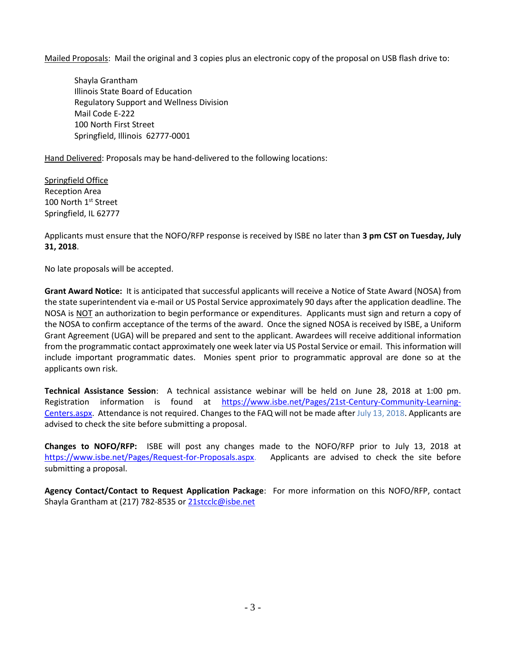Mailed Proposals: Mail the original and 3 copies plus an electronic copy of the proposal on USB flash drive to:

Shayla Grantham Illinois State Board of Education Regulatory Support and Wellness Division Mail Code E-222 100 North First Street Springfield, Illinois 62777-0001

Hand Delivered: Proposals may be hand-delivered to the following locations:

Springfield Office Reception Area 100 North 1<sup>st</sup> Street Springfield, IL 62777

Applicants must ensure that the NOFO/RFP response is received by ISBE no later than **3 pm CST on Tuesday, July 31, 2018**.

No late proposals will be accepted.

**Grant Award Notice:** It is anticipated that successful applicants will receive a Notice of State Award (NOSA) from the state superintendent via e-mail or US Postal Service approximately 90 days after the application deadline. The NOSA is NOT an authorization to begin performance or expenditures. Applicants must sign and return a copy of the NOSA to confirm acceptance of the terms of the award. Once the signed NOSA is received by ISBE, a Uniform Grant Agreement (UGA) will be prepared and sent to the applicant. Awardees will receive additional information from the programmatic contact approximately one week later via US Postal Service or email. This information will include important programmatic dates. Monies spent prior to programmatic approval are done so at the applicants own risk.

**Technical Assistance Session**: A technical assistance webinar will be held on June 28, 2018 at 1:00 pm. Registration information is found at [https://www.isbe.net/Pages/21st-Century-Community-Learning-](https://www.isbe.net/Pages/21st-Century-Community-Learning-Centers.aspx)[Centers.aspx.](https://www.isbe.net/Pages/21st-Century-Community-Learning-Centers.aspx) Attendance is not required. Changes to the FAQ will not be made after July 13, 2018. Applicants are advised to check the site before submitting a proposal.

**Changes to NOFO/RFP:** ISBE will post any changes made to the NOFO/RFP prior to July 13, 2018 at [https://www.isbe.net/Pages/Request-for-Proposals.aspx.](https://www.isbe.net/Pages/Request-for-Proposals.aspx) Applicants are advised to check the site before submitting a proposal.

**Agency Contact/Contact to Request Application Package**: For more information on this NOFO/RFP, contact Shayla Grantham at (217) 782-8535 o[r 21stcclc@isbe.net](mailto:21stcclc@isbe.net)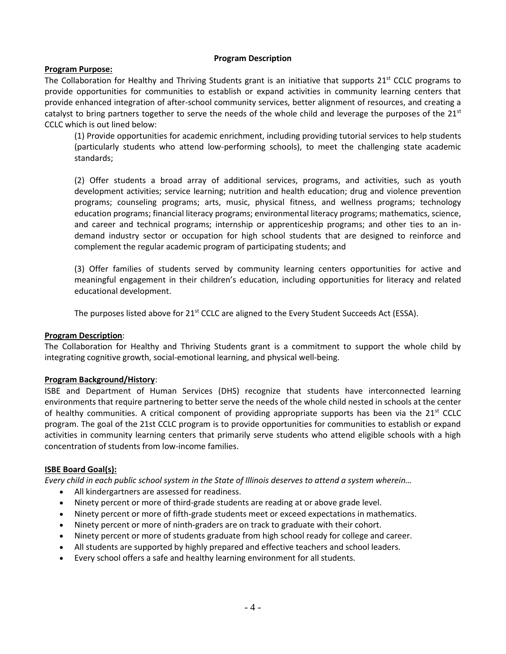#### **Program Description**

#### **Program Purpose:**

The Collaboration for Healthy and Thriving Students grant is an initiative that supports  $21<sup>st</sup>$  CCLC programs to provide opportunities for communities to establish or expand activities in community learning centers that provide enhanced integration of after-school community services, better alignment of resources, and creating a catalyst to bring partners together to serve the needs of the whole child and leverage the purposes of the  $21^{st}$ CCLC which is out lined below:

(1) Provide opportunities for academic enrichment, including providing tutorial services to help students (particularly students who attend low-performing schools), to meet the challenging state academic standards;

(2) Offer students a broad array of additional services, programs, and activities, such as youth development activities; service learning; nutrition and health education; drug and violence prevention programs; counseling programs; arts, music, physical fitness, and wellness programs; technology education programs; financial literacy programs; environmental literacy programs; mathematics, science, and career and technical programs; internship or apprenticeship programs; and other ties to an indemand industry sector or occupation for high school students that are designed to reinforce and complement the regular academic program of participating students; and

(3) Offer families of students served by community learning centers opportunities for active and meaningful engagement in their children's education, including opportunities for literacy and related educational development.

The purposes listed above for 21<sup>st</sup> CCLC are aligned to the Every Student Succeeds Act (ESSA).

#### **Program Description**:

The Collaboration for Healthy and Thriving Students grant is a commitment to support the whole child by integrating cognitive growth, social-emotional learning, and physical well-being.

#### **Program Background/History**:

ISBE and Department of Human Services (DHS) recognize that students have interconnected learning environments that require partnering to better serve the needs of the whole child nested in schools at the center of healthy communities. A critical component of providing appropriate supports has been via the  $21^{st}$  CCLC program. The goal of the 21st CCLC program is to provide opportunities for communities to establish or expand activities in community learning centers that primarily serve students who attend eligible schools with a high concentration of students from low-income families.

#### **ISBE Board Goal(s):**

*Every child in each public school system in the State of Illinois deserves to attend a system wherein…*

- All kindergartners are assessed for readiness.
- Ninety percent or more of third-grade students are reading at or above grade level.
- Ninety percent or more of fifth-grade students meet or exceed expectations in mathematics.
- Ninety percent or more of ninth-graders are on track to graduate with their cohort.
- Ninety percent or more of students graduate from high school ready for college and career.
- All students are supported by highly prepared and effective teachers and school leaders.
- Every school offers a safe and healthy learning environment for all students.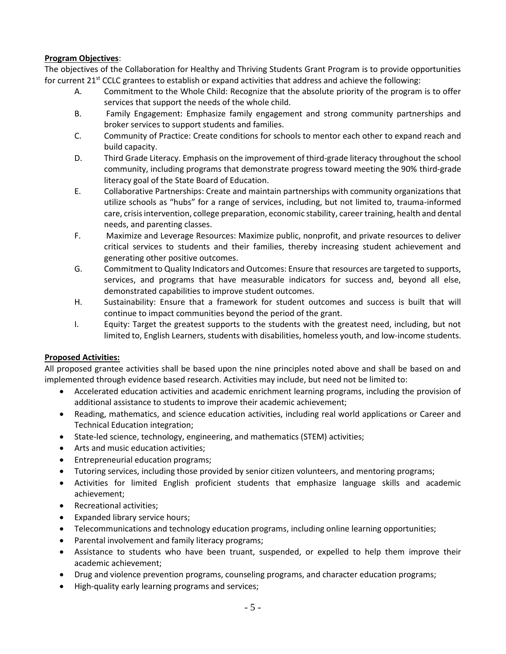#### **Program Objectives**:

The objectives of the Collaboration for Healthy and Thriving Students Grant Program is to provide opportunities for current  $21<sup>st</sup>$  CCLC grantees to establish or expand activities that address and achieve the following:

- A. Commitment to the Whole Child: Recognize that the absolute priority of the program is to offer services that support the needs of the whole child.
- B. Family Engagement: Emphasize family engagement and strong community partnerships and broker services to support students and families.
- C. Community of Practice: Create conditions for schools to mentor each other to expand reach and build capacity.
- D. Third Grade Literacy. Emphasis on the improvement of third-grade literacy throughout the school community, including programs that demonstrate progress toward meeting the 90% third-grade literacy goal of the State Board of Education.
- E. Collaborative Partnerships: Create and maintain partnerships with community organizations that utilize schools as "hubs" for a range of services, including, but not limited to, trauma-informed care, crisis intervention, college preparation, economic stability, career training, health and dental needs, and parenting classes.
- F. Maximize and Leverage Resources: Maximize public, nonprofit, and private resources to deliver critical services to students and their families, thereby increasing student achievement and generating other positive outcomes.
- G. Commitment to Quality Indicators and Outcomes: Ensure that resources are targeted to supports, services, and programs that have measurable indicators for success and, beyond all else, demonstrated capabilities to improve student outcomes.
- H. Sustainability: Ensure that a framework for student outcomes and success is built that will continue to impact communities beyond the period of the grant.
- I. Equity: Target the greatest supports to the students with the greatest need, including, but not limited to, English Learners, students with disabilities, homeless youth, and low-income students.

# **Proposed Activities:**

All proposed grantee activities shall be based upon the nine principles noted above and shall be based on and implemented through evidence based research. Activities may include, but need not be limited to:

- Accelerated education activities and academic enrichment learning programs, including the provision of additional assistance to students to improve their academic achievement;
- Reading, mathematics, and science education activities, including real world applications or Career and Technical Education integration;
- State-led science, technology, engineering, and mathematics (STEM) activities;
- Arts and music education activities;
- Entrepreneurial education programs;
- Tutoring services, including those provided by senior citizen volunteers, and mentoring programs;
- Activities for limited English proficient students that emphasize language skills and academic achievement;
- Recreational activities:
- Expanded library service hours;
- Telecommunications and technology education programs, including online learning opportunities;
- Parental involvement and family literacy programs;
- Assistance to students who have been truant, suspended, or expelled to help them improve their academic achievement;
- Drug and violence prevention programs, counseling programs, and character education programs;
- High-quality early learning programs and services;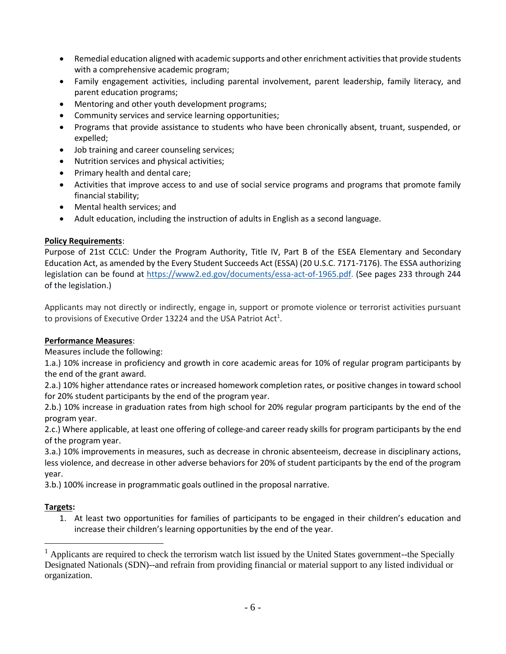- Remedial education aligned with academic supports and other enrichment activities that provide students with a comprehensive academic program;
- Family engagement activities, including parental involvement, parent leadership, family literacy, and parent education programs;
- Mentoring and other youth development programs;
- Community services and service learning opportunities;
- Programs that provide assistance to students who have been chronically absent, truant, suspended, or expelled;
- Job training and career counseling services;
- Nutrition services and physical activities;
- Primary health and dental care;
- Activities that improve access to and use of social service programs and programs that promote family financial stability;
- Mental health services; and
- Adult education, including the instruction of adults in English as a second language.

# **Policy Requirements**:

Purpose of 21st CCLC: Under the Program Authority, Title IV, Part B of the ESEA Elementary and Secondary Education Act, as amended by the Every Student Succeeds Act (ESSA) (20 U.S.C. 7171-7176). The ESSA authorizing legislation can be found at [https://www2.ed.gov/documents/essa-act-of-1965.pdf.](https://www2.ed.gov/documents/essa-act-of-1965.pdf) (See pages 233 through 244 of the legislation.)

Applicants may not directly or indirectly, engage in, support or promote violence or terrorist activities pursuant to provisions of Executive Order 13224 and the USA Patriot Act<sup>1</sup>.

# **Performance Measures**:

Measures include the following:

1.a.) 10% increase in proficiency and growth in core academic areas for 10% of regular program participants by the end of the grant award.

2.a.) 10% higher attendance rates or increased homework completion rates, or positive changes in toward school for 20% student participants by the end of the program year.

2.b.) 10% increase in graduation rates from high school for 20% regular program participants by the end of the program year.

2.c.) Where applicable, at least one offering of college-and career ready skills for program participants by the end of the program year.

3.a.) 10% improvements in measures, such as decrease in chronic absenteeism, decrease in disciplinary actions, less violence, and decrease in other adverse behaviors for 20% of student participants by the end of the program year.

3.b.) 100% increase in programmatic goals outlined in the proposal narrative.

# **Targets:**

 $\overline{a}$ 

1. At least two opportunities for families of participants to be engaged in their children's education and increase their children's learning opportunities by the end of the year.

 $<sup>1</sup>$  Applicants are required to check the terrorism watch list issued by the United States government--the Specially</sup> Designated Nationals (SDN)--and refrain from providing financial or material support to any listed individual or organization.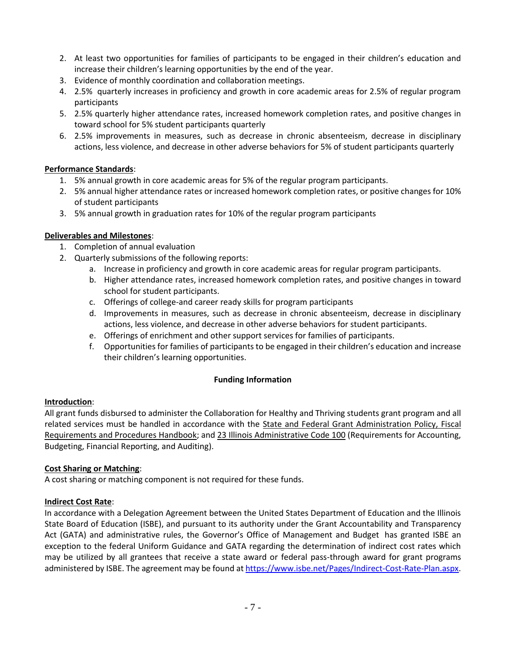- 2. At least two opportunities for families of participants to be engaged in their children's education and increase their children's learning opportunities by the end of the year.
- 3. Evidence of monthly coordination and collaboration meetings.
- 4. 2.5% quarterly increases in proficiency and growth in core academic areas for 2.5% of regular program participants
- 5. 2.5% quarterly higher attendance rates, increased homework completion rates, and positive changes in toward school for 5% student participants quarterly
- 6. 2.5% improvements in measures, such as decrease in chronic absenteeism, decrease in disciplinary actions, less violence, and decrease in other adverse behaviors for 5% of student participants quarterly

# **Performance Standards**:

- 1. 5% annual growth in core academic areas for 5% of the regular program participants.
- 2. 5% annual higher attendance rates or increased homework completion rates, or positive changes for 10% of student participants
- 3. 5% annual growth in graduation rates for 10% of the regular program participants

# **Deliverables and Milestones**:

- 1. Completion of annual evaluation
- 2. Quarterly submissions of the following reports:
	- a. Increase in proficiency and growth in core academic areas for regular program participants.
	- b. Higher attendance rates, increased homework completion rates, and positive changes in toward school for student participants.
	- c. Offerings of college-and career ready skills for program participants
	- d. Improvements in measures, such as decrease in chronic absenteeism, decrease in disciplinary actions, less violence, and decrease in other adverse behaviors for student participants.
	- e. Offerings of enrichment and other support services for families of participants.
	- f. Opportunities for families of participants to be engaged in their children's education and increase their children's learning opportunities.

# **Funding Information**

# **Introduction**:

All grant funds disbursed to administer the Collaboration for Healthy and Thriving students grant program and all related services must be handled in accordance with the State and Federal Grant Administration Policy, Fiscal Requirements and Procedures Handbook; and 23 Illinois Administrative Code 100 (Requirements for Accounting, Budgeting, Financial Reporting, and Auditing).

# **Cost Sharing or Matching**:

A cost sharing or matching component is not required for these funds.

# **Indirect Cost Rate**:

In accordance with a Delegation Agreement between the United States Department of Education and the Illinois State Board of Education (ISBE), and pursuant to its authority under the Grant Accountability and Transparency Act (GATA) and administrative rules, the Governor's Office of Management and Budget has granted ISBE an exception to the federal Uniform Guidance and GATA regarding the determination of indirect cost rates which may be utilized by all grantees that receive a state award or federal pass-through award for grant programs administered by ISBE. The agreement may be found a[t https://www.isbe.net/Pages/Indirect-Cost-Rate-Plan.aspx.](https://www.isbe.net/Pages/Indirect-Cost-Rate-Plan.aspx)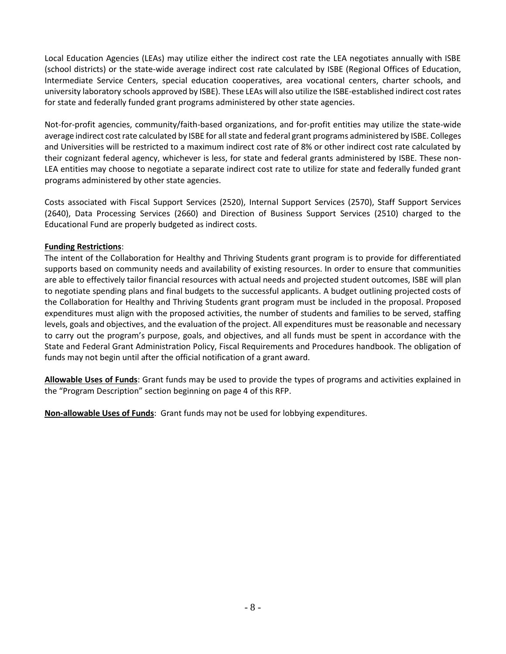Local Education Agencies (LEAs) may utilize either the indirect cost rate the LEA negotiates annually with ISBE (school districts) or the state-wide average indirect cost rate calculated by ISBE (Regional Offices of Education, Intermediate Service Centers, special education cooperatives, area vocational centers, charter schools, and university laboratory schools approved by ISBE). These LEAs will also utilize the ISBE-established indirect cost rates for state and federally funded grant programs administered by other state agencies.

Not-for-profit agencies, community/faith-based organizations, and for-profit entities may utilize the state-wide average indirect cost rate calculated by ISBE for all state and federal grant programs administered by ISBE. Colleges and Universities will be restricted to a maximum indirect cost rate of 8% or other indirect cost rate calculated by their cognizant federal agency, whichever is less, for state and federal grants administered by ISBE. These non-LEA entities may choose to negotiate a separate indirect cost rate to utilize for state and federally funded grant programs administered by other state agencies.

Costs associated with Fiscal Support Services (2520), Internal Support Services (2570), Staff Support Services (2640), Data Processing Services (2660) and Direction of Business Support Services (2510) charged to the Educational Fund are properly budgeted as indirect costs.

#### **Funding Restrictions**:

The intent of the Collaboration for Healthy and Thriving Students grant program is to provide for differentiated supports based on community needs and availability of existing resources. In order to ensure that communities are able to effectively tailor financial resources with actual needs and projected student outcomes, ISBE will plan to negotiate spending plans and final budgets to the successful applicants. A budget outlining projected costs of the Collaboration for Healthy and Thriving Students grant program must be included in the proposal. Proposed expenditures must align with the proposed activities, the number of students and families to be served, staffing levels, goals and objectives, and the evaluation of the project. All expenditures must be reasonable and necessary to carry out the program's purpose, goals, and objectives, and all funds must be spent in accordance with the State and Federal Grant Administration Policy, Fiscal Requirements and Procedures handbook. The obligation of funds may not begin until after the official notification of a grant award.

**Allowable Uses of Funds**: Grant funds may be used to provide the types of programs and activities explained in the "Program Description" section beginning on page 4 of this RFP.

**Non-allowable Uses of Funds**: Grant funds may not be used for lobbying expenditures.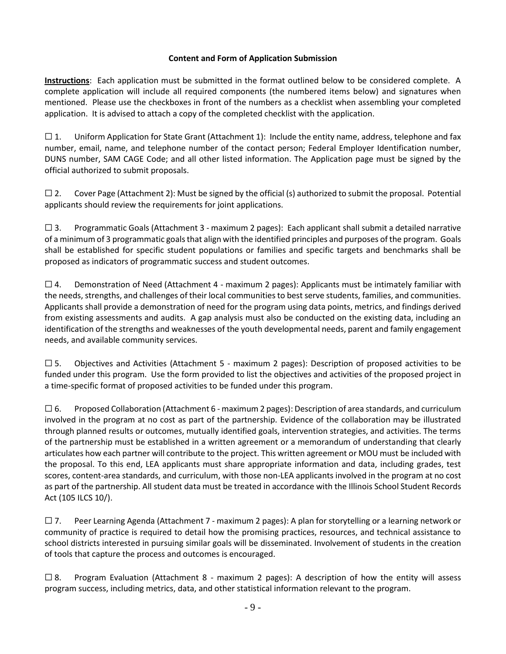# **Content and Form of Application Submission**

**Instructions**: Each application must be submitted in the format outlined below to be considered complete. A complete application will include all required components (the numbered items below) and signatures when mentioned. Please use the checkboxes in front of the numbers as a checklist when assembling your completed application. It is advised to attach a copy of the completed checklist with the application.

 $\square$  1. Uniform Application for State Grant (Attachment 1): Include the entity name, address, telephone and fax number, email, name, and telephone number of the contact person; Federal Employer Identification number, DUNS number, SAM CAGE Code; and all other listed information. The Application page must be signed by the official authorized to submit proposals.

 $\square$  2. Cover Page (Attachment 2): Must be signed by the official (s) authorized to submit the proposal. Potential applicants should review the requirements for joint applications.

 $\square$  3. Programmatic Goals (Attachment 3 - maximum 2 pages): Each applicant shall submit a detailed narrative of a minimum of 3 programmatic goals that align with the identified principles and purposes of the program. Goals shall be established for specific student populations or families and specific targets and benchmarks shall be proposed as indicators of programmatic success and student outcomes.

 $\square$  4. Demonstration of Need (Attachment 4 - maximum 2 pages): Applicants must be intimately familiar with the needs, strengths, and challenges of their local communities to best serve students, families, and communities. Applicants shall provide a demonstration of need for the program using data points, metrics, and findings derived from existing assessments and audits. A gap analysis must also be conducted on the existing data, including an identification of the strengths and weaknesses of the youth developmental needs, parent and family engagement needs, and available community services.

 $\square$  5. Objectives and Activities (Attachment 5 - maximum 2 pages): Description of proposed activities to be funded under this program. Use the form provided to list the objectives and activities of the proposed project in a time-specific format of proposed activities to be funded under this program.

 $\square$  6. Proposed Collaboration (Attachment 6 - maximum 2 pages): Description of area standards, and curriculum involved in the program at no cost as part of the partnership. Evidence of the collaboration may be illustrated through planned results or outcomes, mutually identified goals, intervention strategies, and activities. The terms of the partnership must be established in a written agreement or a memorandum of understanding that clearly articulates how each partner will contribute to the project. This written agreement or MOU must be included with the proposal. To this end, LEA applicants must share appropriate information and data, including grades, test scores, content‐area standards, and curriculum, with those non‐LEA applicants involved in the program at no cost as part of the partnership. All student data must be treated in accordance with the Illinois School Student Records Act (105 ILCS 10/).

☐ 7. Peer Learning Agenda (Attachment 7 - maximum 2 pages): A plan for storytelling or a learning network or community of practice is required to detail how the promising practices, resources, and technical assistance to school districts interested in pursuing similar goals will be disseminated. Involvement of students in the creation of tools that capture the process and outcomes is encouraged.

 $\square$  8. Program Evaluation (Attachment 8 - maximum 2 pages): A description of how the entity will assess program success, including metrics, data, and other statistical information relevant to the program.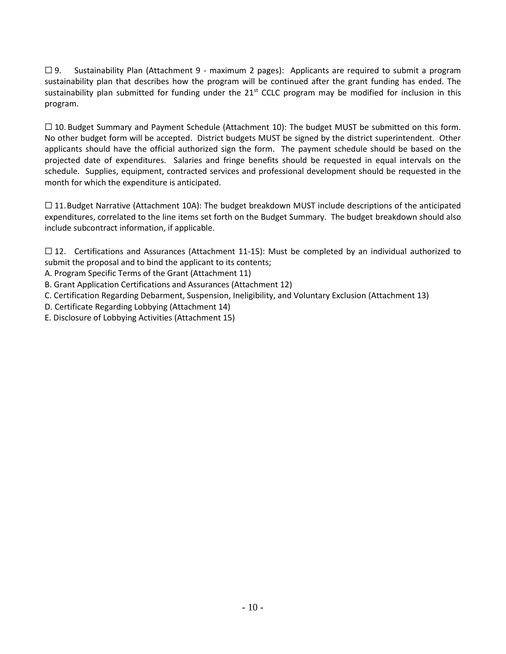$\square$  9. Sustainability Plan (Attachment 9 - maximum 2 pages): Applicants are required to submit a program sustainability plan that describes how the program will be continued after the grant funding has ended. The sustainability plan submitted for funding under the 21<sup>st</sup> CCLC program may be modified for inclusion in this program.

 $\Box$  10. Budget Summary and Payment Schedule (Attachment 10): The budget MUST be submitted on this form. No other budget form will be accepted. District budgets MUST be signed by the district superintendent. Other applicants should have the official authorized sign the form. The payment schedule should be based on the projected date of expenditures. Salaries and fringe benefits should be requested in equal intervals on the schedule. Supplies, equipment, contracted services and professional development should be requested in the month for which the expenditure is anticipated.

 $\Box$  11. Budget Narrative (Attachment 10A): The budget breakdown MUST include descriptions of the anticipated expenditures, correlated to the line items set forth on the Budget Summary. The budget breakdown should also include subcontract information, if applicable.

 $\Box$  12. Certifications and Assurances (Attachment 11-15): Must be completed by an individual authorized to submit the proposal and to bind the applicant to its contents;

- A. Program Specific Terms of the Grant (Attachment 11)
- B. Grant Application Certifications and Assurances (Attachment 12)
- C. Certification Regarding Debarment, Suspension, Ineligibility, and Voluntary Exclusion (Attachment 13)
- D. Certificate Regarding Lobbying (Attachment 14)
- E. Disclosure of Lobbying Activities (Attachment 15)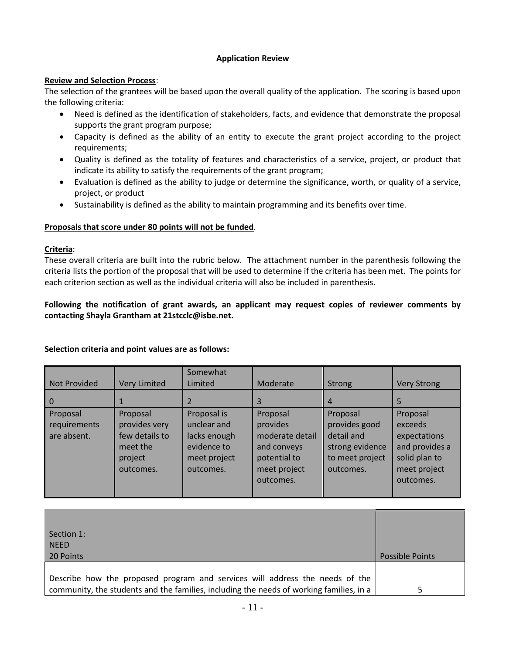#### **Application Review**

#### **Review and Selection Process**:

The selection of the grantees will be based upon the overall quality of the application. The scoring is based upon the following criteria:

- Need is defined as the identification of stakeholders, facts, and evidence that demonstrate the proposal supports the grant program purpose;
- Capacity is defined as the ability of an entity to execute the grant project according to the project requirements;
- Quality is defined as the totality of features and characteristics of a service, project, or product that indicate its ability to satisfy the requirements of the grant program;
- Evaluation is defined as the ability to judge or determine the significance, worth, or quality of a service, project, or product
- Sustainability is defined as the ability to maintain programming and its benefits over time.

#### **Proposals that score under 80 points will not be funded**.

#### **Criteria**:

These overall criteria are built into the rubric below. The attachment number in the parenthesis following the criteria lists the portion of the proposal that will be used to determine if the criteria has been met. The points for each criterion section as well as the individual criteria will also be included in parenthesis.

#### **Following the notification of grant awards, an applicant may request copies of reviewer comments by contacting Shayla Grantham at 21stcclc@isbe.net.**

|  |  |  | Selection criteria and point values are as follows: |
|--|--|--|-----------------------------------------------------|
|--|--|--|-----------------------------------------------------|

| Not Provided                            | <b>Very Limited</b>                                                             | Somewhat<br>Limited                                                                    | Moderate                                                                                            | <b>Strong</b>                                                                              | <b>Very Strong</b>                                                                                  |
|-----------------------------------------|---------------------------------------------------------------------------------|----------------------------------------------------------------------------------------|-----------------------------------------------------------------------------------------------------|--------------------------------------------------------------------------------------------|-----------------------------------------------------------------------------------------------------|
| $\overline{0}$                          |                                                                                 |                                                                                        | 3                                                                                                   | 4                                                                                          | 5                                                                                                   |
| Proposal<br>requirements<br>are absent. | Proposal<br>provides very<br>few details to<br>meet the<br>project<br>outcomes. | Proposal is<br>unclear and<br>lacks enough<br>evidence to<br>meet project<br>outcomes. | Proposal<br>provides<br>moderate detail<br>and conveys<br>potential to<br>meet project<br>outcomes. | Proposal<br>provides good<br>detail and<br>strong evidence<br>to meet project<br>outcomes. | Proposal<br>exceeds<br>expectations<br>and provides a<br>solid plan to<br>meet project<br>outcomes. |

| Section 1:<br><b>NEED</b><br>20 Points                                                  | <b>Possible Points</b> |
|-----------------------------------------------------------------------------------------|------------------------|
| Describe how the proposed program and services will address the needs of the            |                        |
| community, the students and the families, including the needs of working families, in a |                        |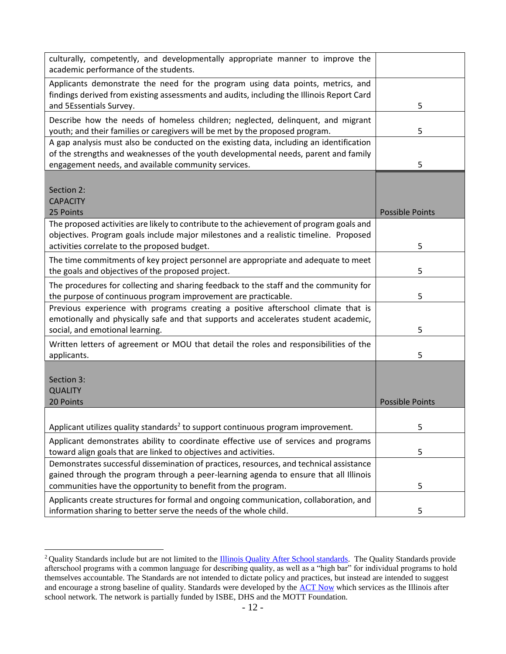| culturally, competently, and developmentally appropriate manner to improve the<br>academic performance of the students.                                                      |                        |
|------------------------------------------------------------------------------------------------------------------------------------------------------------------------------|------------------------|
| Applicants demonstrate the need for the program using data points, metrics, and<br>findings derived from existing assessments and audits, including the Illinois Report Card |                        |
| and 5Essentials Survey.                                                                                                                                                      | 5                      |
| Describe how the needs of homeless children; neglected, delinquent, and migrant<br>youth; and their families or caregivers will be met by the proposed program.              | 5                      |
| A gap analysis must also be conducted on the existing data, including an identification                                                                                      |                        |
| of the strengths and weaknesses of the youth developmental needs, parent and family                                                                                          |                        |
| engagement needs, and available community services.                                                                                                                          | 5                      |
|                                                                                                                                                                              |                        |
| Section 2:                                                                                                                                                                   |                        |
| <b>CAPACITY</b>                                                                                                                                                              |                        |
| 25 Points                                                                                                                                                                    | <b>Possible Points</b> |
| The proposed activities are likely to contribute to the achievement of program goals and                                                                                     |                        |
| objectives. Program goals include major milestones and a realistic timeline. Proposed                                                                                        |                        |
| activities correlate to the proposed budget.                                                                                                                                 | 5                      |
| The time commitments of key project personnel are appropriate and adequate to meet                                                                                           |                        |
| the goals and objectives of the proposed project.                                                                                                                            | 5                      |
| The procedures for collecting and sharing feedback to the staff and the community for                                                                                        |                        |
| the purpose of continuous program improvement are practicable.                                                                                                               | 5                      |
| Previous experience with programs creating a positive afterschool climate that is                                                                                            |                        |
| emotionally and physically safe and that supports and accelerates student academic,                                                                                          |                        |
| social, and emotional learning.                                                                                                                                              | 5                      |
| Written letters of agreement or MOU that detail the roles and responsibilities of the                                                                                        |                        |
| applicants.                                                                                                                                                                  | 5                      |
| Section 3:                                                                                                                                                                   |                        |
| <b>QUALITY</b>                                                                                                                                                               |                        |
| 20 Points                                                                                                                                                                    | <b>Possible Points</b> |
|                                                                                                                                                                              |                        |
| Applicant utilizes quality standards <sup>2</sup> to support continuous program improvement.                                                                                 | 5                      |
| Applicant demonstrates ability to coordinate effective use of services and programs<br>toward align goals that are linked to objectives and activities.                      | 5                      |
| Demonstrates successful dissemination of practices, resources, and technical assistance                                                                                      |                        |
| gained through the program through a peer-learning agenda to ensure that all Illinois                                                                                        |                        |
| communities have the opportunity to benefit from the program.                                                                                                                | 5                      |
| Applicants create structures for formal and ongoing communication, collaboration, and                                                                                        |                        |
| information sharing to better serve the needs of the whole child.                                                                                                            | 5                      |

<sup>&</sup>lt;sup>2</sup> Quality Standards include but are not limited to the *Illinois Quality After School standards*. The Quality Standards provide afterschool programs with a common language for describing quality, as well as a "high bar" for individual programs to hold themselves accountable. The Standards are not intended to dictate policy and practices, but instead are intended to suggest and encourage a strong baseline of quality. Standards were developed by the [ACT Now](http://www.actnowillinois.org/) which services as the Illinois after school network. The network is partially funded by ISBE, DHS and the MOTT Foundation.